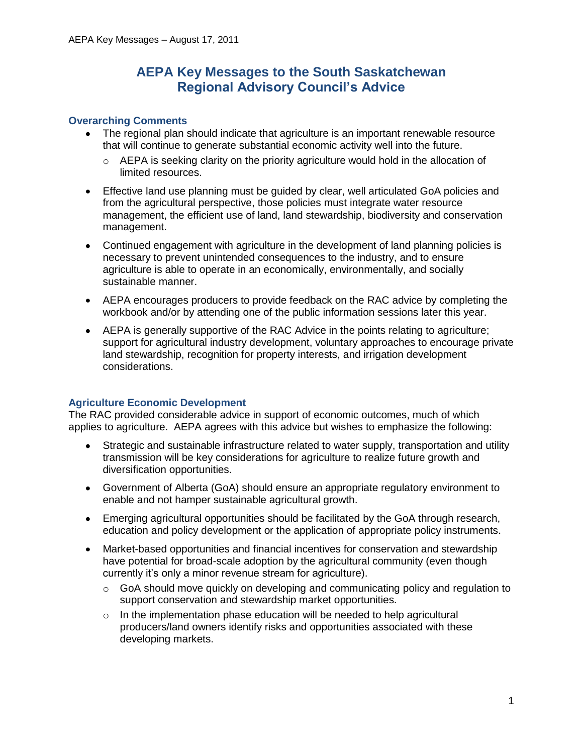# **AEPA Key Messages to the South Saskatchewan Regional Advisory Council's Advice**

## **Overarching Comments**

- The regional plan should indicate that agriculture is an important renewable resource  $\bullet$ that will continue to generate substantial economic activity well into the future.
	- $\circ$  AEPA is seeking clarity on the priority agriculture would hold in the allocation of limited resources.
- Effective land use planning must be guided by clear, well articulated GoA policies and  $\bullet$ from the agricultural perspective, those policies must integrate water resource management, the efficient use of land, land stewardship, biodiversity and conservation management.
- Continued engagement with agriculture in the development of land planning policies is necessary to prevent unintended consequences to the industry, and to ensure agriculture is able to operate in an economically, environmentally, and socially sustainable manner.
- AEPA encourages producers to provide feedback on the RAC advice by completing the workbook and/or by attending one of the public information sessions later this year.
- AEPA is generally supportive of the RAC Advice in the points relating to agriculture; support for agricultural industry development, voluntary approaches to encourage private land stewardship, recognition for property interests, and irrigation development considerations.

# **Agriculture Economic Development**

The RAC provided considerable advice in support of economic outcomes, much of which applies to agriculture. AEPA agrees with this advice but wishes to emphasize the following:

- Strategic and sustainable infrastructure related to water supply, transportation and utility  $\bullet$ transmission will be key considerations for agriculture to realize future growth and diversification opportunities.
- Government of Alberta (GoA) should ensure an appropriate regulatory environment to enable and not hamper sustainable agricultural growth.
- Emerging agricultural opportunities should be facilitated by the GoA through research, education and policy development or the application of appropriate policy instruments.
- Market-based opportunities and financial incentives for conservation and stewardship  $\bullet$ have potential for broad-scale adoption by the agricultural community (even though currently it's only a minor revenue stream for agriculture).
	- $\circ$  GoA should move quickly on developing and communicating policy and regulation to support conservation and stewardship market opportunities.
	- $\circ$  In the implementation phase education will be needed to help agricultural producers/land owners identify risks and opportunities associated with these developing markets.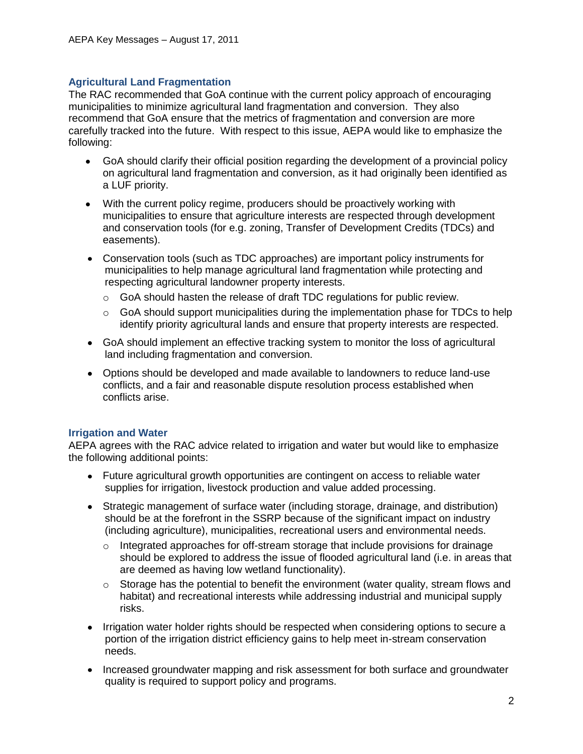## **Agricultural Land Fragmentation**

The RAC recommended that GoA continue with the current policy approach of encouraging municipalities to minimize agricultural land fragmentation and conversion. They also recommend that GoA ensure that the metrics of fragmentation and conversion are more carefully tracked into the future. With respect to this issue, AEPA would like to emphasize the following:

- GoA should clarify their official position regarding the development of a provincial policy on agricultural land fragmentation and conversion, as it had originally been identified as a LUF priority.
- With the current policy regime, producers should be proactively working with municipalities to ensure that agriculture interests are respected through development and conservation tools (for e.g. zoning, Transfer of Development Credits (TDCs) and easements).
- Conservation tools (such as TDC approaches) are important policy instruments for municipalities to help manage agricultural land fragmentation while protecting and respecting agricultural landowner property interests.
	- o GoA should hasten the release of draft TDC regulations for public review.
	- $\circ$  GoA should support municipalities during the implementation phase for TDCs to help identify priority agricultural lands and ensure that property interests are respected.
- GoA should implement an effective tracking system to monitor the loss of agricultural land including fragmentation and conversion.
- Options should be developed and made available to landowners to reduce land-use conflicts, and a fair and reasonable dispute resolution process established when conflicts arise.

#### **Irrigation and Water**

AEPA agrees with the RAC advice related to irrigation and water but would like to emphasize the following additional points:

- Future agricultural growth opportunities are contingent on access to reliable water supplies for irrigation, livestock production and value added processing.
- Strategic management of surface water (including storage, drainage, and distribution) should be at the forefront in the SSRP because of the significant impact on industry (including agriculture), municipalities, recreational users and environmental needs.
	- $\circ$  Integrated approaches for off-stream storage that include provisions for drainage should be explored to address the issue of flooded agricultural land (i.e. in areas that are deemed as having low wetland functionality).
	- $\circ$  Storage has the potential to benefit the environment (water quality, stream flows and habitat) and recreational interests while addressing industrial and municipal supply risks.
- Irrigation water holder rights should be respected when considering options to secure a portion of the irrigation district efficiency gains to help meet in-stream conservation needs.
- Increased groundwater mapping and risk assessment for both surface and groundwater quality is required to support policy and programs.